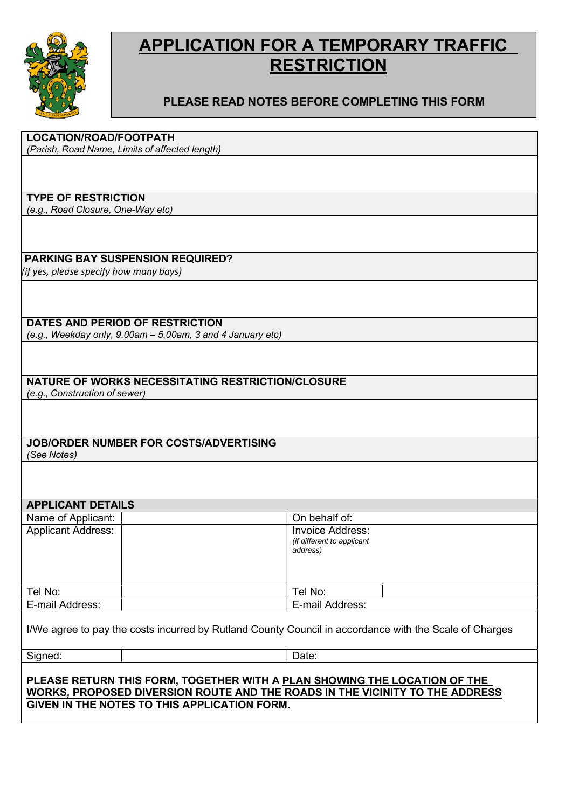

## APPLICATION FOR A TEMPORARY TRAFFIC **RESTRICTION**

### PLEASE READ NOTES BEFORE COMPLETING THIS FORM

| <b>LOCATION/ROAD/FOOTPATH</b>                                                                          |                            |
|--------------------------------------------------------------------------------------------------------|----------------------------|
| (Parish, Road Name, Limits of affected length)                                                         |                            |
|                                                                                                        |                            |
|                                                                                                        |                            |
| <b>TYPE OF RESTRICTION</b><br>(e.g., Road Closure, One-Way etc)                                        |                            |
|                                                                                                        |                            |
|                                                                                                        |                            |
| <b>PARKING BAY SUSPENSION REQUIRED?</b>                                                                |                            |
| (if yes, please specify how many bays)                                                                 |                            |
|                                                                                                        |                            |
|                                                                                                        |                            |
|                                                                                                        |                            |
| <b>DATES AND PERIOD OF RESTRICTION</b><br>(e.g., Weekday only, 9.00am - 5.00am, 3 and 4 January etc)   |                            |
|                                                                                                        |                            |
|                                                                                                        |                            |
|                                                                                                        |                            |
| <b>NATURE OF WORKS NECESSITATING RESTRICTION/CLOSURE</b>                                               |                            |
| (e.g., Construction of sewer)                                                                          |                            |
|                                                                                                        |                            |
|                                                                                                        |                            |
| <b>JOB/ORDER NUMBER FOR COSTS/ADVERTISING</b>                                                          |                            |
| (See Notes)                                                                                            |                            |
|                                                                                                        |                            |
|                                                                                                        |                            |
|                                                                                                        |                            |
| <b>APPLICANT DETAILS</b>                                                                               | On behalf of:              |
| Name of Applicant:<br><b>Applicant Address:</b>                                                        | <b>Invoice Address:</b>    |
|                                                                                                        | (if different to applicant |
|                                                                                                        | address)                   |
|                                                                                                        |                            |
|                                                                                                        |                            |
| Tel No:                                                                                                | Tel No:                    |
| E-mail Address:                                                                                        | E-mail Address:            |
|                                                                                                        |                            |
| I/We agree to pay the costs incurred by Rutland County Council in accordance with the Scale of Charges |                            |
| Signed:                                                                                                | Date:                      |
|                                                                                                        |                            |
| PLEASE RETURN THIS FORM, TOGETHER WITH A PLAN SHOWING THE LOCATION OF THE                              |                            |
| WORKS, PROPOSED DIVERSION ROUTE AND THE ROADS IN THE VICINITY TO THE ADDRESS                           |                            |
| GIVEN IN THE NOTES TO THIS APPLICATION FORM.                                                           |                            |